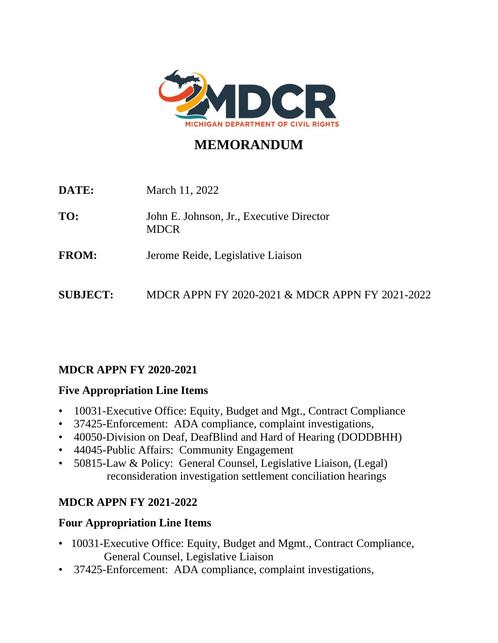

# **MEMORANDUM**

| DATE:           | March 11, 2022                                          |
|-----------------|---------------------------------------------------------|
| TO:             | John E. Johnson, Jr., Executive Director<br><b>MDCR</b> |
| <b>FROM:</b>    | Jerome Reide, Legislative Liaison                       |
| <b>SUBJECT:</b> | MDCR APPN FY 2020-2021 & MDCR APPN FY 2021-2022         |

### **MDCR APPN FY 2020-2021**

### **Five Appropriation Line Items**

- 10031-Executive Office: Equity, Budget and Mgt., Contract Compliance
- 37425-Enforcement: ADA compliance, complaint investigations,
- 40050-Division on Deaf, DeafBlind and Hard of Hearing (DODDBHH)
- 44045-Public Affairs: Community Engagement
- 50815-Law & Policy: General Counsel, Legislative Liaison, (Legal) reconsideration investigation settlement conciliation hearings

# **MDCR APPN FY 2021-2022**

# **Four Appropriation Line Items**

- 10031-Executive Office: Equity, Budget and Mgmt., Contract Compliance, General Counsel, Legislative Liaison
- 37425-Enforcement: ADA compliance, complaint investigations,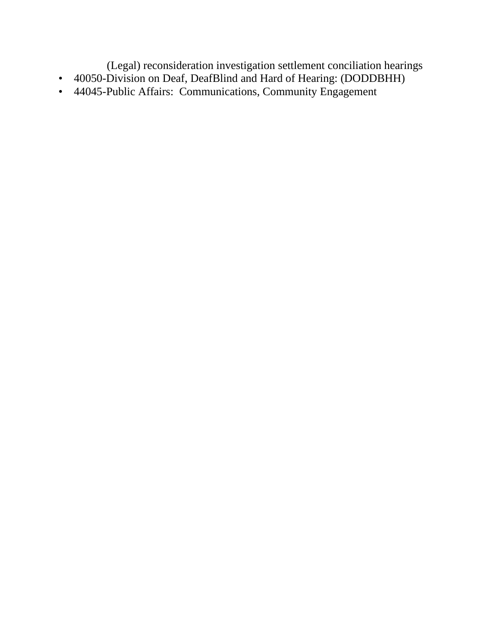(Legal) reconsideration investigation settlement conciliation hearings

- 40050-Division on Deaf, DeafBlind and Hard of Hearing: (DODDBHH)
- 44045-Public Affairs: Communications, Community Engagement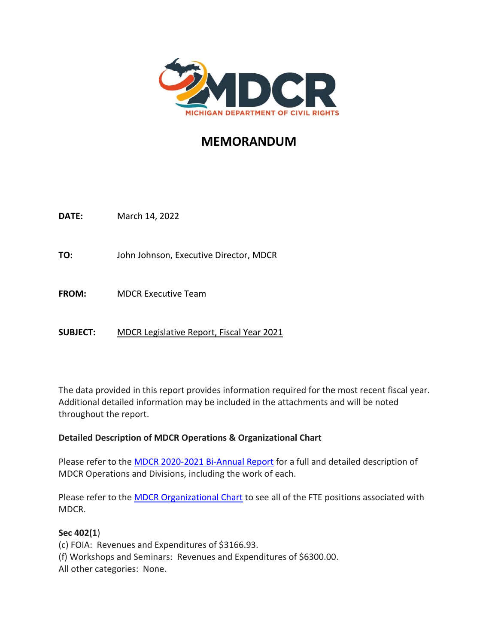

# **MEMORANDUM**

**DATE:** March 14, 2022

**TO:** John Johnson, Executive Director, MDCR

**FROM:** MDCR Executive Team

**SUBJECT:** MDCR Legislative Report, Fiscal Year 2021

The data provided in this report provides information required for the most recent fiscal year. Additional detailed information may be included in the attachments and will be noted throughout the report.

#### **Detailed Description of MDCR Operations & Organizational Chart**

Please refer to the [MDCR 2020-2021 Bi-Annual Report](https://www.michigan.gov/mdcr/-/media/Project/Websites/mdcr/mcrc/annual-reports/biannual-report-20-21.pdf?rev=c8493d04ba594a45a80f34941d3d09f4&hash=E8A738CF7C3701E1B76F5E57CAC3C74B) for a full and detailed description of MDCR Operations and Divisions, including the work of each.

Please refer to the **MDCR Organizational Chart** to see all of the FTE positions associated with MDCR.

#### **Sec 402(1**)

(c) FOIA: Revenues and Expenditures of \$3166.93. (f) Workshops and Seminars: Revenues and Expenditures of \$6300.00. All other categories: None.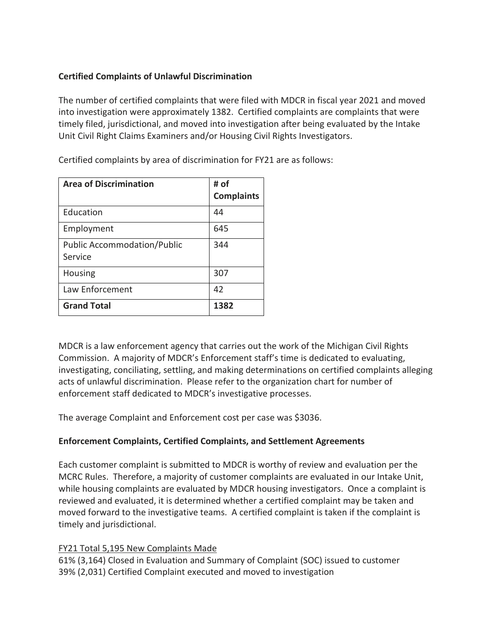### **Certified Complaints of Unlawful Discrimination**

The number of certified complaints that were filed with MDCR in fiscal year 2021 and moved into investigation were approximately 1382. Certified complaints are complaints that were timely filed, jurisdictional, and moved into investigation after being evaluated by the Intake Unit Civil Right Claims Examiners and/or Housing Civil Rights Investigators.

| <b>Area of Discrimination</b>                 | # of<br><b>Complaints</b> |
|-----------------------------------------------|---------------------------|
| Education                                     | 44                        |
| Employment                                    | 645                       |
| <b>Public Accommodation/Public</b><br>Service | 344                       |
| <b>Housing</b>                                | 307                       |
| Law Enforcement                               | 42                        |
| <b>Grand Total</b>                            | 1382                      |

Certified complaints by area of discrimination for FY21 are as follows:

MDCR is a law enforcement agency that carries out the work of the Michigan Civil Rights Commission. A majority of MDCR's Enforcement staff's time is dedicated to evaluating, investigating, conciliating, settling, and making determinations on certified complaints alleging acts of unlawful discrimination. Please refer to the organization chart for number of enforcement staff dedicated to MDCR's investigative processes.

The average Complaint and Enforcement cost per case was \$3036.

### **Enforcement Complaints, Certified Complaints, and Settlement Agreements**

Each customer complaint is submitted to MDCR is worthy of review and evaluation per the MCRC Rules. Therefore, a majority of customer complaints are evaluated in our Intake Unit, while housing complaints are evaluated by MDCR housing investigators. Once a complaint is reviewed and evaluated, it is determined whether a certified complaint may be taken and moved forward to the investigative teams. A certified complaint is taken if the complaint is timely and jurisdictional.

### FY21 Total 5,195 New Complaints Made

61% (3,164) Closed in Evaluation and Summary of Complaint (SOC) issued to customer 39% (2,031) Certified Complaint executed and moved to investigation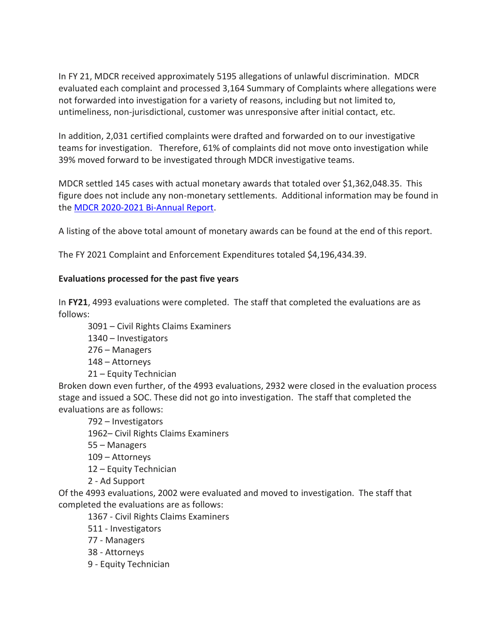In FY 21, MDCR received approximately 5195 allegations of unlawful discrimination. MDCR evaluated each complaint and processed 3,164 Summary of Complaints where allegations were not forwarded into investigation for a variety of reasons, including but not limited to, untimeliness, non-jurisdictional, customer was unresponsive after initial contact, etc.

In addition, 2,031 certified complaints were drafted and forwarded on to our investigative teams for investigation. Therefore, 61% of complaints did not move onto investigation while 39% moved forward to be investigated through MDCR investigative teams.

MDCR settled 145 cases with actual monetary awards that totaled over \$1,362,048.35. This figure does not include any non-monetary settlements. Additional information may be found in the [MDCR 2020-2021 Bi-Annual Report.](https://www.michigan.gov/mdcr/-/media/Project/Websites/mdcr/mcrc/annual-reports/biannual-report-20-21.pdf?rev=c8493d04ba594a45a80f34941d3d09f4&hash=E8A738CF7C3701E1B76F5E57CAC3C74B)

A listing of the above total amount of monetary awards can be found at the end of this report.

The FY 2021 Complaint and Enforcement Expenditures totaled \$4,196,434.39.

#### **Evaluations processed for the past five years**

In **FY21**, 4993 evaluations were completed. The staff that completed the evaluations are as follows:

3091 – Civil Rights Claims Examiners

1340 – Investigators

276 – Managers

148 – Attorneys

21 – Equity Technician

Broken down even further, of the 4993 evaluations, 2932 were closed in the evaluation process stage and issued a SOC. These did not go into investigation. The staff that completed the evaluations are as follows:

– Investigators – Civil Rights Claims Examiners – Managers – Attorneys – Equity Technician

2 - Ad Support

Of the 4993 evaluations, 2002 were evaluated and moved to investigation. The staff that completed the evaluations are as follows:

1367 - Civil Rights Claims Examiners

511 - Investigators

77 - Managers

38 - Attorneys

9 - Equity Technician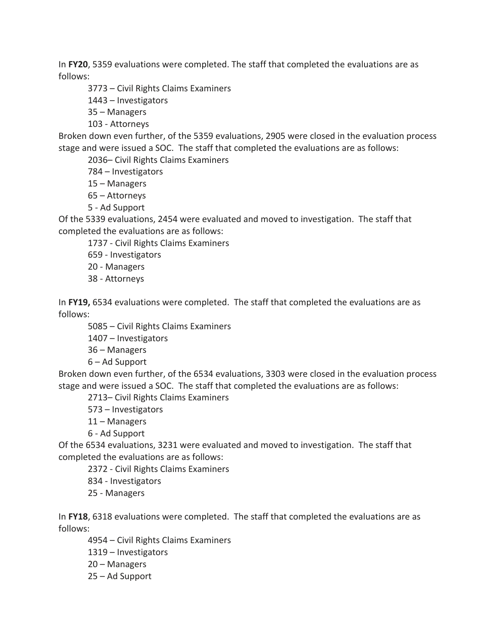In **FY20**, 5359 evaluations were completed. The staff that completed the evaluations are as follows:

3773 – Civil Rights Claims Examiners

1443 – Investigators

35 – Managers

103 - Attorneys

Broken down even further, of the 5359 evaluations, 2905 were closed in the evaluation process stage and were issued a SOC. The staff that completed the evaluations are as follows:

2036– Civil Rights Claims Examiners

784 – Investigators

15 – Managers

65 – Attorneys

5 - Ad Support

Of the 5339 evaluations, 2454 were evaluated and moved to investigation. The staff that completed the evaluations are as follows:

1737 - Civil Rights Claims Examiners

659 - Investigators

20 - Managers

38 - Attorneys

In **FY19,** 6534 evaluations were completed. The staff that completed the evaluations are as follows:

5085 – Civil Rights Claims Examiners

1407 – Investigators

36 – Managers

6 – Ad Support

Broken down even further, of the 6534 evaluations, 3303 were closed in the evaluation process stage and were issued a SOC. The staff that completed the evaluations are as follows:

2713– Civil Rights Claims Examiners

573 – Investigators

11 – Managers

6 - Ad Support

Of the 6534 evaluations, 3231 were evaluated and moved to investigation. The staff that completed the evaluations are as follows:

2372 - Civil Rights Claims Examiners

834 - Investigators

25 - Managers

In **FY18**, 6318 evaluations were completed. The staff that completed the evaluations are as follows:

4954 – Civil Rights Claims Examiners 1319 – Investigators

20 – Managers

25 – Ad Support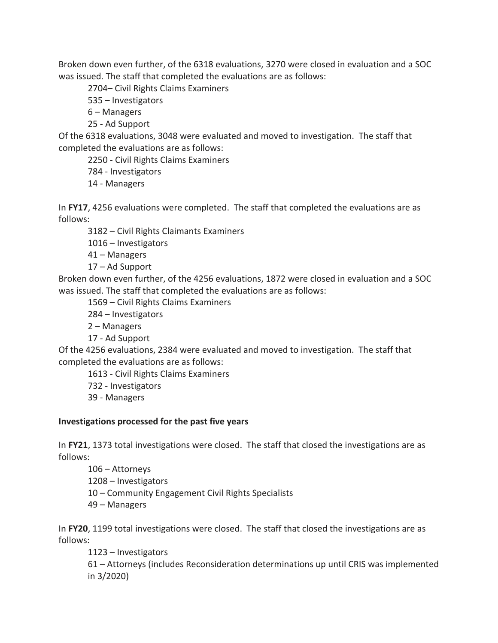Broken down even further, of the 6318 evaluations, 3270 were closed in evaluation and a SOC was issued. The staff that completed the evaluations are as follows:

2704– Civil Rights Claims Examiners

535 – Investigators

6 – Managers

25 - Ad Support

Of the 6318 evaluations, 3048 were evaluated and moved to investigation. The staff that completed the evaluations are as follows:

2250 - Civil Rights Claims Examiners

784 - Investigators

14 - Managers

In **FY17**, 4256 evaluations were completed.The staff that completed the evaluations are as follows:

3182 – Civil Rights Claimants Examiners

1016 – Investigators

41 – Managers

17 – Ad Support

Broken down even further, of the 4256 evaluations, 1872 were closed in evaluation and a SOC was issued. The staff that completed the evaluations are as follows:

1569 – Civil Rights Claims Examiners

284 – Investigators

2 – Managers

17 - Ad Support

Of the 4256 evaluations, 2384 were evaluated and moved to investigation. The staff that completed the evaluations are as follows:

1613 - Civil Rights Claims Examiners

732 - Investigators

39 - Managers

#### **Investigations processed for the past five years**

In **FY21**, 1373 total investigations were closed. The staff that closed the investigations are as follows:

– Attorneys – Investigators – Community Engagement Civil Rights Specialists – Managers

In **FY20**, 1199 total investigations were closed. The staff that closed the investigations are as follows:

1123 – Investigators

61 – Attorneys (includes Reconsideration determinations up until CRIS was implemented in 3/2020)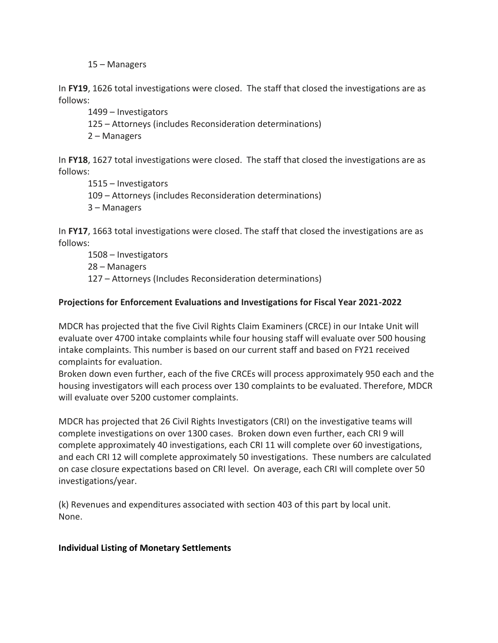15 – Managers

In **FY19**, 1626 total investigations were closed.The staff that closed the investigations are as follows:

1499 – Investigators

125 – Attorneys (includes Reconsideration determinations)

2 – Managers

In **FY18**, 1627 total investigations were closed. The staff that closed the investigations are as follows:

1515 – Investigators 109 – Attorneys (includes Reconsideration determinations) 3 – Managers

In **FY17**, 1663 total investigations were closed. The staff that closed the investigations are as follows:

1508 – Investigators 28 – Managers 127 – Attorneys (Includes Reconsideration determinations)

#### **Projections for Enforcement Evaluations and Investigations for Fiscal Year 2021-2022**

MDCR has projected that the five Civil Rights Claim Examiners (CRCE) in our Intake Unit will evaluate over 4700 intake complaints while four housing staff will evaluate over 500 housing intake complaints. This number is based on our current staff and based on FY21 received complaints for evaluation.

Broken down even further, each of the five CRCEs will process approximately 950 each and the housing investigators will each process over 130 complaints to be evaluated. Therefore, MDCR will evaluate over 5200 customer complaints.

MDCR has projected that 26 Civil Rights Investigators (CRI) on the investigative teams will complete investigations on over 1300 cases. Broken down even further, each CRI 9 will complete approximately 40 investigations, each CRI 11 will complete over 60 investigations, and each CRI 12 will complete approximately 50 investigations. These numbers are calculated on case closure expectations based on CRI level. On average, each CRI will complete over 50 investigations/year.

(k) Revenues and expenditures associated with section 403 of this part by local unit. None.

#### **Individual Listing of Monetary Settlements**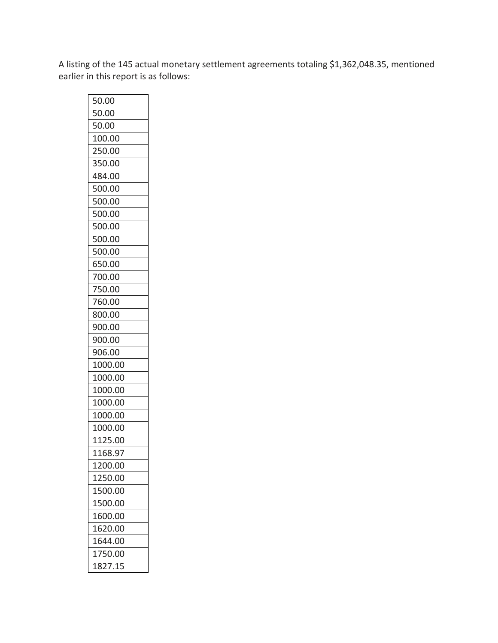A listing of the 145 actual monetary settlement agreements totaling \$1,362,048.35, mentioned earlier in this report is as follows:

| 50.00   |
|---------|
| 50.00   |
| 50.00   |
| 100.00  |
| 250.00  |
| 350.00  |
| 484.00  |
| 500.00  |
| 500.00  |
| 500.00  |
| 500.00  |
| 500.00  |
| 500.00  |
| 650.00  |
| 700.00  |
| 750.00  |
| 760.00  |
| 800.00  |
| 900.00  |
| 900.00  |
| 906.00  |
| 1000.00 |
| 1000.00 |
| 1000.00 |
| 1000.00 |
| 1000.00 |
| 1000.00 |
| 1125.00 |
| 1168.97 |
| 1200.00 |
| 1250.00 |
| 1500.00 |
| 1500.00 |
| 1600.00 |
| 1620.00 |
| 1644.00 |
| 1750.00 |
| 1827.15 |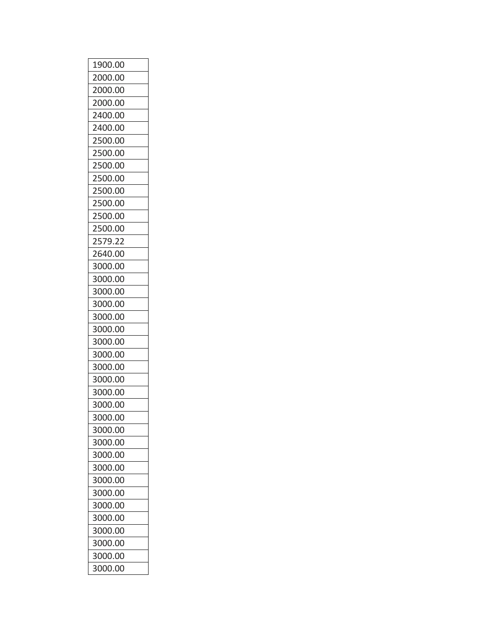| 1900.00 |
|---------|
| 2000.00 |
| 2000.00 |
| 2000.00 |
| 2400.00 |
| 2400.00 |
| 2500.00 |
| 2500.00 |
| 2500.00 |
| 2500.00 |
| 2500.00 |
| 2500.00 |
| 2500.00 |
| 2500.00 |
| 2579.22 |
| 2640.00 |
| 3000.00 |
| 3000.00 |
| 3000.00 |
| 3000.00 |
| 3000.00 |
| 3000.00 |
| 3000.00 |
| 3000.00 |
| 3000.00 |
| 3000.00 |
| 3000.00 |
| 3000.00 |
| 3000.00 |
| 3000.00 |
| 3000.00 |
| 3000.00 |
| 3000.00 |
| 3000.00 |
| 3000.00 |
| 3000.00 |
| 3000.00 |
| 3000.00 |
| 3000.00 |
| 3000.00 |
| 3000.00 |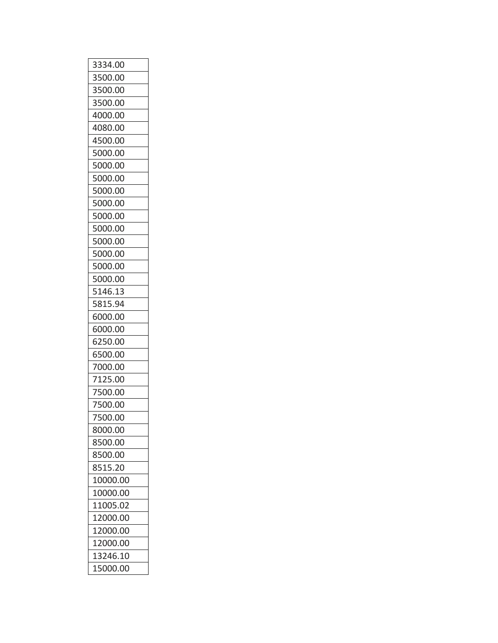| 3334.00  |
|----------|
| 3500.00  |
| 3500.00  |
| 3500.00  |
| 4000.00  |
| 4080.00  |
| 4500.00  |
| 5000.00  |
| 5000.00  |
| 5000.00  |
| 5000.00  |
| 5000.00  |
| 5000.00  |
| 5000.00  |
| 5000.00  |
| 5000.00  |
| 5000.00  |
| 5000.00  |
| 5146.13  |
| 5815.94  |
| 6000.00  |
| 6000.00  |
| 6250.00  |
| 6500.00  |
| 7000.00  |
| 7125.00  |
| 7500.00  |
| 7500.00  |
| 7500.00  |
| 8000.00  |
| 8500.00  |
| 8500.00  |
| 8515.20  |
| 10000.00 |
| 10000.00 |
| 11005.02 |
| 12000.00 |
| 12000.00 |
| 12000.00 |
| 13246.10 |
| 15000.00 |